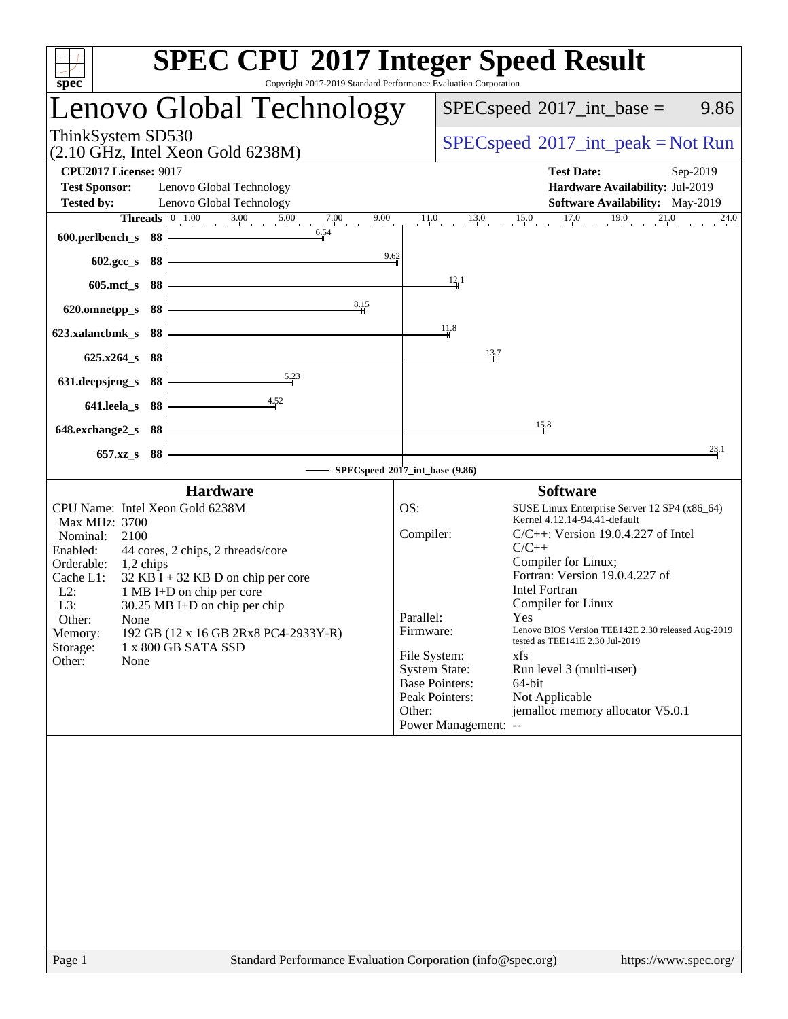| Copyright 2017-2019 Standard Performance Evaluation Corporation<br>spec <sup>®</sup>     | <b>SPEC CPU®2017 Integer Speed Result</b>                                                              |
|------------------------------------------------------------------------------------------|--------------------------------------------------------------------------------------------------------|
| Lenovo Global Technology                                                                 | $SPEC speed^{\circ}2017\_int\_base =$<br>9.86                                                          |
| ThinkSystem SD530<br>$(2.10 \text{ GHz}, \text{Intel Xeon Gold } 6238\text{M})$          | $SPEC speed^{\circ}2017\_int\_peak = Not Run$                                                          |
| <b>CPU2017 License: 9017</b><br><b>Test Sponsor:</b><br>Lenovo Global Technology         | <b>Test Date:</b><br>Sep-2019<br>Hardware Availability: Jul-2019                                       |
| <b>Tested by:</b><br>Lenovo Global Technology                                            | Software Availability: May-2019                                                                        |
| <b>Threads</b> $\begin{bmatrix} 0 & 1.00 & 3.00 & 5.00 & 7.00 & 9.00 \end{bmatrix}$      | $11.0$ $13.0$ $15.0$ $17.0$ $19.0$ $21.0$<br>$^{24.0}$                                                 |
| 6.54<br>600.perlbench_s 88                                                               |                                                                                                        |
| 9.62<br>602.gcc_s 88                                                                     |                                                                                                        |
| 605.mcf_s 88                                                                             | 12.1                                                                                                   |
| 8.15<br>620.omnetpp_s 88                                                                 |                                                                                                        |
| 623.xalancbmk_s 88                                                                       | 11.8                                                                                                   |
| 625.x264_s 88                                                                            | 13.7                                                                                                   |
| 5.23<br>631.deepsjeng_s<br>88                                                            |                                                                                                        |
| $-4.52$<br>641.leela_s 88                                                                |                                                                                                        |
| 648.exchange2_s 88                                                                       | 15.8                                                                                                   |
| 657.xz_s 88                                                                              | 23.1                                                                                                   |
|                                                                                          | SPECspeed®2017_int_base (9.86)                                                                         |
| <b>Hardware</b>                                                                          | <b>Software</b>                                                                                        |
| CPU Name: Intel Xeon Gold 6238M                                                          | OS:<br>SUSE Linux Enterprise Server 12 SP4 (x86_64)                                                    |
| Max MHz: 3700<br>Nominal:<br>2100                                                        | Kernel 4.12.14-94.41-default<br>Compiler:<br>$C/C++$ : Version 19.0.4.227 of Intel                     |
| 44 cores, 2 chips, 2 threads/core<br>Enabled:                                            | $C/C++$                                                                                                |
| Orderable:<br>$1,2$ chips                                                                | Compiler for Linux;<br>Fortran: Version 19.0.4.227 of                                                  |
| Cache L1:<br>$32$ KB I + 32 KB D on chip per core<br>$L2$ :<br>1 MB I+D on chip per core | <b>Intel Fortran</b>                                                                                   |
| L3:<br>$30.25$ MB I+D on chip per chip                                                   | Compiler for Linux                                                                                     |
| Other:<br>None                                                                           | Parallel:<br>$Y_{\text{PS}}$ and $Y_{\text{PS}}$<br>Lenovo BIOS Version TEE142E 2.30 released Aug-2019 |
| 192 GB (12 x 16 GB 2Rx8 PC4-2933Y-R)<br>Memory:<br>Storage:<br>1 x 800 GB SATA SSD       | Firmware:<br>tested as TEE141E 2.30 Jul-2019                                                           |
| Other:<br>None                                                                           | File System:<br>xfs                                                                                    |
|                                                                                          | <b>System State:</b><br>Run level 3 (multi-user)<br><b>Base Pointers:</b><br>64-bit                    |
|                                                                                          | Peak Pointers:<br>Not Applicable                                                                       |
|                                                                                          | jemalloc memory allocator V5.0.1<br>Other:                                                             |
|                                                                                          |                                                                                                        |
|                                                                                          | Power Management: --                                                                                   |

Page 1 Standard Performance Evaluation Corporation [\(info@spec.org\)](mailto:info@spec.org) <https://www.spec.org/>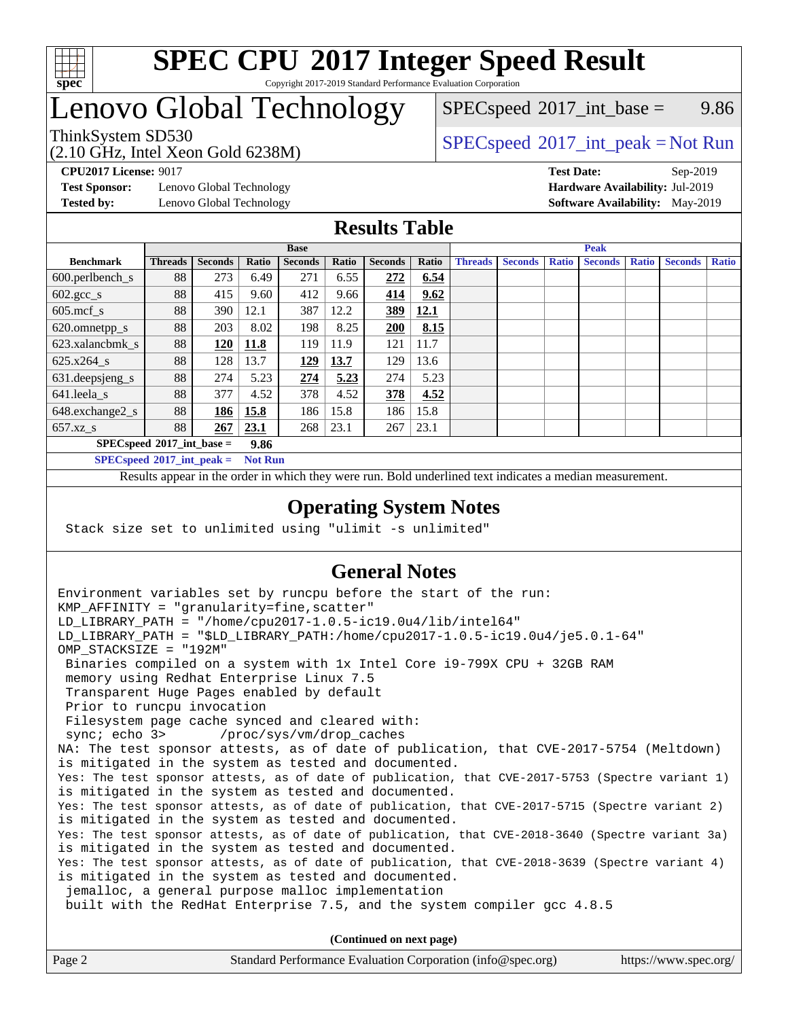

#### **[SPEC CPU](http://www.spec.org/auto/cpu2017/Docs/result-fields.html#SPECCPU2017IntegerSpeedResult)[2017 Integer Speed Result](http://www.spec.org/auto/cpu2017/Docs/result-fields.html#SPECCPU2017IntegerSpeedResult)** Copyright 2017-2019 Standard Performance Evaluation Corporation

### Lenovo Global Technology

(2.10 GHz, Intel Xeon Gold 6238M)

 $SPECspeed^{\circ}2017\_int\_base =$  $SPECspeed^{\circ}2017\_int\_base =$  9.86

### ThinkSystem SD530<br>  $SPEC speed^{\circ}2017\_int\_peak = Not Run$

**[Test Sponsor:](http://www.spec.org/auto/cpu2017/Docs/result-fields.html#TestSponsor)** Lenovo Global Technology **[Hardware Availability:](http://www.spec.org/auto/cpu2017/Docs/result-fields.html#HardwareAvailability)** Jul-2019

**[CPU2017 License:](http://www.spec.org/auto/cpu2017/Docs/result-fields.html#CPU2017License)** 9017 **[Test Date:](http://www.spec.org/auto/cpu2017/Docs/result-fields.html#TestDate)** Sep-2019 **[Tested by:](http://www.spec.org/auto/cpu2017/Docs/result-fields.html#Testedby)** Lenovo Global Technology **[Software Availability:](http://www.spec.org/auto/cpu2017/Docs/result-fields.html#SoftwareAvailability)** May-2019

### **[Results Table](http://www.spec.org/auto/cpu2017/Docs/result-fields.html#ResultsTable)**

|                             | <b>Base</b>    |                |       |                |       | <b>Peak</b>    |       |                |                |              |                |              |                |              |
|-----------------------------|----------------|----------------|-------|----------------|-------|----------------|-------|----------------|----------------|--------------|----------------|--------------|----------------|--------------|
| <b>Benchmark</b>            | <b>Threads</b> | <b>Seconds</b> | Ratio | <b>Seconds</b> | Ratio | <b>Seconds</b> | Ratio | <b>Threads</b> | <b>Seconds</b> | <b>Ratio</b> | <b>Seconds</b> | <b>Ratio</b> | <b>Seconds</b> | <b>Ratio</b> |
| $600.$ perlbench_s          | 88             | 273            | 6.49  | 271            | 6.55  | 272            | 6.54  |                |                |              |                |              |                |              |
| $602.\text{gcc}\_\text{s}$  | 88             | 415            | 9.60  | 412            | 9.66  | 414            | 9.62  |                |                |              |                |              |                |              |
| $605$ .mcf s                | 88             | 390            | 12.1  | 387            | 12.2  | 389            | 12.1  |                |                |              |                |              |                |              |
| 620.omnetpp_s               | 88             | 203            | 8.02  | 198            | 8.25  | 200            | 8.15  |                |                |              |                |              |                |              |
| 623.xalancbmk s             | 88             | 120            | 11.8  | 119            | 11.9  | 121            | 11.7  |                |                |              |                |              |                |              |
| $625.x264_s$                | 88             | 128            | 13.7  | 129            | 13.7  | 129            | 13.6  |                |                |              |                |              |                |              |
| 631.deepsjeng_s             | 88             | 274            | 5.23  | 274            | 5.23  | 274            | 5.23  |                |                |              |                |              |                |              |
| 641.leela s                 | 88             | 377            | 4.52  | 378            | 4.52  | 378            | 4.52  |                |                |              |                |              |                |              |
| 648.exchange2_s             | 88             | 186            | 15.8  | 186            | 15.8  | 186            | 15.8  |                |                |              |                |              |                |              |
| $657.xz$ s                  | 88             | 267            | 23.1  | 268            | 23.1  | 267            | 23.1  |                |                |              |                |              |                |              |
| $SPECspeed*2017$ int base = |                |                | 9.86  |                |       |                |       |                |                |              |                |              |                |              |

**[SPECspeed](http://www.spec.org/auto/cpu2017/Docs/result-fields.html#SPECspeed2017intpeak)[2017\\_int\\_peak =](http://www.spec.org/auto/cpu2017/Docs/result-fields.html#SPECspeed2017intpeak) Not Run**

Results appear in the [order in which they were run.](http://www.spec.org/auto/cpu2017/Docs/result-fields.html#RunOrder) Bold underlined text [indicates a median measurement.](http://www.spec.org/auto/cpu2017/Docs/result-fields.html#Median)

#### **[Operating System Notes](http://www.spec.org/auto/cpu2017/Docs/result-fields.html#OperatingSystemNotes)**

Stack size set to unlimited using "ulimit -s unlimited"

### **[General Notes](http://www.spec.org/auto/cpu2017/Docs/result-fields.html#GeneralNotes)**

Environment variables set by runcpu before the start of the run: KMP AFFINITY = "granularity=fine, scatter" LD\_LIBRARY\_PATH = "/home/cpu2017-1.0.5-ic19.0u4/lib/intel64" LD\_LIBRARY\_PATH = "\$LD\_LIBRARY\_PATH:/home/cpu2017-1.0.5-ic19.0u4/je5.0.1-64" OMP\_STACKSIZE = "192M" Binaries compiled on a system with 1x Intel Core i9-799X CPU + 32GB RAM memory using Redhat Enterprise Linux 7.5 Transparent Huge Pages enabled by default Prior to runcpu invocation Filesystem page cache synced and cleared with: sync; echo 3> /proc/sys/vm/drop\_caches NA: The test sponsor attests, as of date of publication, that CVE-2017-5754 (Meltdown) is mitigated in the system as tested and documented. Yes: The test sponsor attests, as of date of publication, that CVE-2017-5753 (Spectre variant 1) is mitigated in the system as tested and documented. Yes: The test sponsor attests, as of date of publication, that CVE-2017-5715 (Spectre variant 2) is mitigated in the system as tested and documented. Yes: The test sponsor attests, as of date of publication, that CVE-2018-3640 (Spectre variant 3a) is mitigated in the system as tested and documented. Yes: The test sponsor attests, as of date of publication, that CVE-2018-3639 (Spectre variant 4) is mitigated in the system as tested and documented. jemalloc, a general purpose malloc implementation built with the RedHat Enterprise 7.5, and the system compiler gcc 4.8.5 **(Continued on next page)**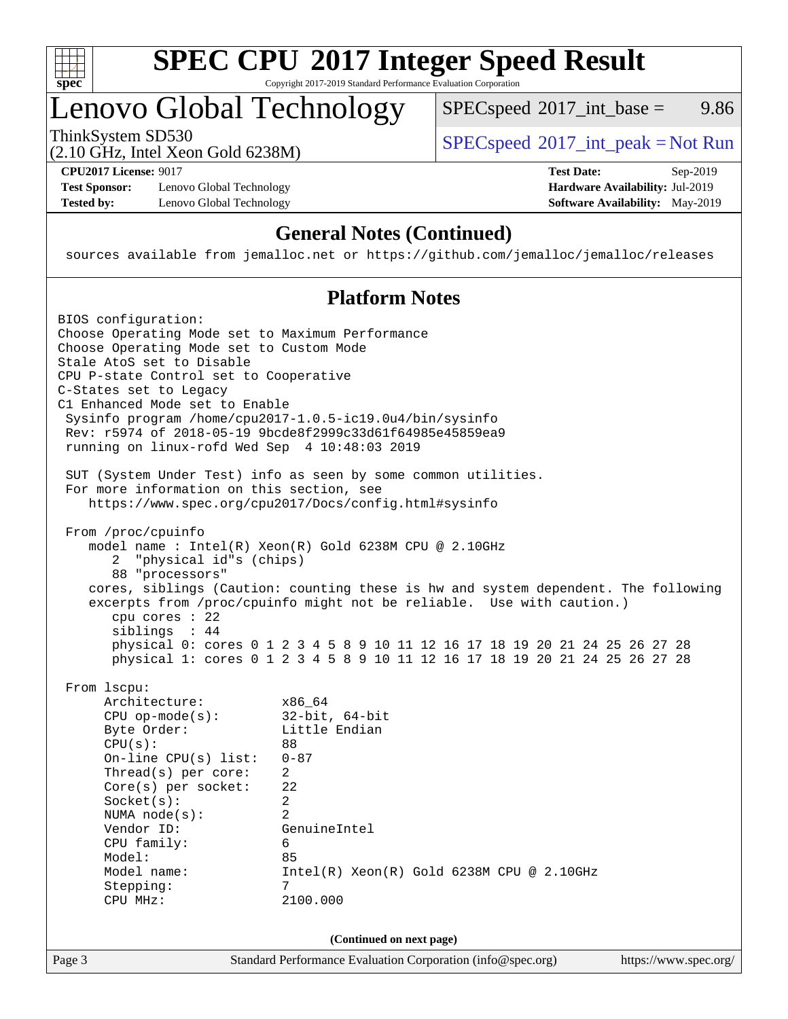

# **[SPEC CPU](http://www.spec.org/auto/cpu2017/Docs/result-fields.html#SPECCPU2017IntegerSpeedResult)[2017 Integer Speed Result](http://www.spec.org/auto/cpu2017/Docs/result-fields.html#SPECCPU2017IntegerSpeedResult)**

Copyright 2017-2019 Standard Performance Evaluation Corporation

## Lenovo Global Technology

ThinkSystem SD530<br>  $(2.10 \text{ GHz. Intel Yoon Gold } 6238M)$  [SPECspeed](http://www.spec.org/auto/cpu2017/Docs/result-fields.html#SPECspeed2017intpeak)<sup>®</sup>[2017\\_int\\_peak = N](http://www.spec.org/auto/cpu2017/Docs/result-fields.html#SPECspeed2017intpeak)ot Run  $SPECspeed^{\circledcirc}2017\_int\_base = 9.86$  $SPECspeed^{\circledcirc}2017\_int\_base = 9.86$ 

(2.10 GHz, Intel Xeon Gold 6238M)

**[Test Sponsor:](http://www.spec.org/auto/cpu2017/Docs/result-fields.html#TestSponsor)** Lenovo Global Technology **[Hardware Availability:](http://www.spec.org/auto/cpu2017/Docs/result-fields.html#HardwareAvailability)** Jul-2019 **[Tested by:](http://www.spec.org/auto/cpu2017/Docs/result-fields.html#Testedby)** Lenovo Global Technology **[Software Availability:](http://www.spec.org/auto/cpu2017/Docs/result-fields.html#SoftwareAvailability)** May-2019

**[CPU2017 License:](http://www.spec.org/auto/cpu2017/Docs/result-fields.html#CPU2017License)** 9017 **[Test Date:](http://www.spec.org/auto/cpu2017/Docs/result-fields.html#TestDate)** Sep-2019

### **[General Notes \(Continued\)](http://www.spec.org/auto/cpu2017/Docs/result-fields.html#GeneralNotes)**

sources available from jemalloc.net or <https://github.com/jemalloc/jemalloc/releases>

### **[Platform Notes](http://www.spec.org/auto/cpu2017/Docs/result-fields.html#PlatformNotes)**

| BIOS configuration:<br>Choose Operating Mode set to Maximum Performance<br>Choose Operating Mode set to Custom Mode<br>Stale AtoS set to Disable<br>CPU P-state Control set to Cooperative<br>C-States set to Legacy<br>C1 Enhanced Mode set to Enable<br>running on linux-rofd Wed Sep 4 10:48:03 2019<br>For more information on this section, see | Sysinfo program /home/cpu2017-1.0.5-ic19.0u4/bin/sysinfo<br>Rev: r5974 of 2018-05-19 9bcde8f2999c33d61f64985e45859ea9<br>SUT (System Under Test) info as seen by some common utilities.                                                                                                                                                                                                 |
|------------------------------------------------------------------------------------------------------------------------------------------------------------------------------------------------------------------------------------------------------------------------------------------------------------------------------------------------------|-----------------------------------------------------------------------------------------------------------------------------------------------------------------------------------------------------------------------------------------------------------------------------------------------------------------------------------------------------------------------------------------|
|                                                                                                                                                                                                                                                                                                                                                      | https://www.spec.org/cpu2017/Docs/config.html#sysinfo                                                                                                                                                                                                                                                                                                                                   |
| From /proc/cpuinfo<br>"physical id"s (chips)<br>2<br>88 "processors"<br>cpu cores $: 22$<br>siblings : 44                                                                                                                                                                                                                                            | model name: $Intel(R)$ Xeon $(R)$ Gold 6238M CPU @ 2.10GHz<br>cores, siblings (Caution: counting these is hw and system dependent. The following<br>excerpts from /proc/cpuinfo might not be reliable. Use with caution.)<br>physical 0: cores 0 1 2 3 4 5 8 9 10 11 12 16 17 18 19 20 21 24 25 26 27 28<br>physical 1: cores 0 1 2 3 4 5 8 9 10 11 12 16 17 18 19 20 21 24 25 26 27 28 |
| From 1scpu:<br>Architecture:<br>$CPU$ op-mode( $s$ ):<br>Byte Order:<br>CPU(s):<br>On-line $CPU(s)$ list:<br>$Thread(s)$ per core:<br>$Core(s)$ per socket:<br>Socket(s):<br>NUMA $node(s):$<br>Vendor ID:<br>CPU family:<br>Model:<br>Model name:<br>Stepping:<br>CPU MHz:                                                                          | x86 64<br>$32$ -bit, $64$ -bit<br>Little Endian<br>88<br>$0 - 87$<br>$\overline{a}$<br>22<br>$\overline{a}$<br>$\overline{2}$<br>GenuineIntel<br>6<br>85<br>Intel(R) Xeon(R) Gold 6238M CPU @ 2.10GHz<br>7<br>2100.000                                                                                                                                                                  |
|                                                                                                                                                                                                                                                                                                                                                      | (Continued on next page)                                                                                                                                                                                                                                                                                                                                                                |
| Page 3                                                                                                                                                                                                                                                                                                                                               | Standard Performance Evaluation Corporation (info@spec.org)<br>https://www.spec.org/                                                                                                                                                                                                                                                                                                    |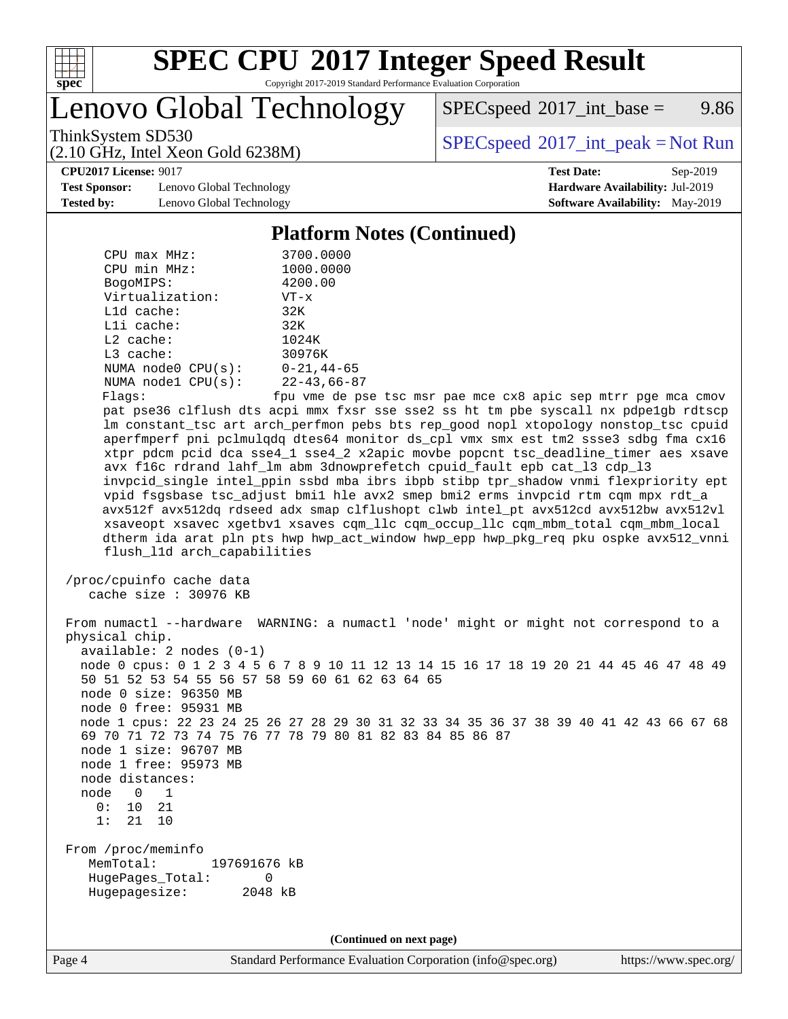

## **[SPEC CPU](http://www.spec.org/auto/cpu2017/Docs/result-fields.html#SPECCPU2017IntegerSpeedResult)[2017 Integer Speed Result](http://www.spec.org/auto/cpu2017/Docs/result-fields.html#SPECCPU2017IntegerSpeedResult)**

Copyright 2017-2019 Standard Performance Evaluation Corporation

Lenovo Global Technology

 $SPECspeed^{\circledcirc}2017\_int\_base = 9.86$  $SPECspeed^{\circledcirc}2017\_int\_base = 9.86$ 

(2.10 GHz, Intel Xeon Gold 6238M)

ThinkSystem SD530<br>  $(2.10 \text{ GHz. Intel Yoon Gold } 6238M)$  [SPECspeed](http://www.spec.org/auto/cpu2017/Docs/result-fields.html#SPECspeed2017intpeak)<sup>®</sup>[2017\\_int\\_peak = N](http://www.spec.org/auto/cpu2017/Docs/result-fields.html#SPECspeed2017intpeak)ot Run

**[CPU2017 License:](http://www.spec.org/auto/cpu2017/Docs/result-fields.html#CPU2017License)** 9017 **[Test Date:](http://www.spec.org/auto/cpu2017/Docs/result-fields.html#TestDate)** Sep-2019

**[Test Sponsor:](http://www.spec.org/auto/cpu2017/Docs/result-fields.html#TestSponsor)** Lenovo Global Technology **[Hardware Availability:](http://www.spec.org/auto/cpu2017/Docs/result-fields.html#HardwareAvailability)** Jul-2019 **[Tested by:](http://www.spec.org/auto/cpu2017/Docs/result-fields.html#Testedby)** Lenovo Global Technology **[Software Availability:](http://www.spec.org/auto/cpu2017/Docs/result-fields.html#SoftwareAvailability)** May-2019

#### **[Platform Notes \(Continued\)](http://www.spec.org/auto/cpu2017/Docs/result-fields.html#PlatformNotes)**

| $CPU$ $max$ $MHz$ :<br>CPU min MHz:<br>BogoMIPS:<br>Virtualization:<br>L1d cache:<br>Lli cache:<br>L2 cache:<br>L3 cache:<br>NUMA $node0$ $CPU(s):$<br>NUMA nodel $CPU(s):$<br>Flags:<br>flush_l1d arch_capabilities                                                          | 3700.0000<br>1000.0000<br>4200.00<br>$VT - x$<br>32K<br>32K<br>1024K<br>30976K<br>$0 - 21,44 - 65$<br>$22 - 43,66 - 87$<br>fpu vme de pse tsc msr pae mce cx8 apic sep mtrr pge mca cmov<br>pat pse36 clflush dts acpi mmx fxsr sse sse2 ss ht tm pbe syscall nx pdpelgb rdtscp<br>lm constant_tsc art arch_perfmon pebs bts rep_good nopl xtopology nonstop_tsc cpuid<br>aperfmperf pni pclmulqdq dtes64 monitor ds_cpl vmx smx est tm2 ssse3 sdbg fma cx16<br>xtpr pdcm pcid dca sse4_1 sse4_2 x2apic movbe popcnt tsc_deadline_timer aes xsave<br>avx f16c rdrand lahf_lm abm 3dnowprefetch cpuid_fault epb cat_13 cdp_13<br>invpcid_single intel_ppin ssbd mba ibrs ibpb stibp tpr_shadow vnmi flexpriority ept<br>vpid fsgsbase tsc_adjust bmil hle avx2 smep bmi2 erms invpcid rtm cqm mpx rdt_a<br>avx512f avx512dq rdseed adx smap clflushopt clwb intel_pt avx512cd avx512bw avx512vl<br>xsaveopt xsavec xgetbvl xsaves cqm_llc cqm_occup_llc cqm_mbm_total cqm_mbm_local<br>dtherm ida arat pln pts hwp hwp_act_window hwp_epp hwp_pkg_req pku ospke avx512_vnni |
|-------------------------------------------------------------------------------------------------------------------------------------------------------------------------------------------------------------------------------------------------------------------------------|----------------------------------------------------------------------------------------------------------------------------------------------------------------------------------------------------------------------------------------------------------------------------------------------------------------------------------------------------------------------------------------------------------------------------------------------------------------------------------------------------------------------------------------------------------------------------------------------------------------------------------------------------------------------------------------------------------------------------------------------------------------------------------------------------------------------------------------------------------------------------------------------------------------------------------------------------------------------------------------------------------------------------------------------------------------------------|
| /proc/cpuinfo cache data<br>cache size : 30976 KB                                                                                                                                                                                                                             |                                                                                                                                                                                                                                                                                                                                                                                                                                                                                                                                                                                                                                                                                                                                                                                                                                                                                                                                                                                                                                                                            |
| physical chip.<br>$available: 2 nodes (0-1)$<br>50 51 52 53 54 55 56 57 58 59 60 61 62 63 64 65<br>node 0 size: 96350 MB<br>node 0 free: 95931 MB<br>node 1 size: 96707 MB<br>node 1 free: 95973 MB<br>node distances:<br>node<br>$\Omega$<br>1<br>0:<br>10<br>21<br>1: 21 10 | From numactl --hardware WARNING: a numactl 'node' might or might not correspond to a<br>node 0 cpus: 0 1 2 3 4 5 6 7 8 9 10 11 12 13 14 15 16 17 18 19 20 21 44 45 46 47 48 49<br>node 1 cpus: 22 23 24 25 26 27 28 29 30 31 32 33 34 35 36 37 38 39 40 41 42 43 66 67 68<br>69 70 71 72 73 74 75 76 77 78 79 80 81 82 83 84 85 86 87                                                                                                                                                                                                                                                                                                                                                                                                                                                                                                                                                                                                                                                                                                                                      |
| From /proc/meminfo<br>MemTotal:<br>197691676 kB<br>HugePages_Total:<br>0<br>Hugepagesize:<br>2048 kB                                                                                                                                                                          |                                                                                                                                                                                                                                                                                                                                                                                                                                                                                                                                                                                                                                                                                                                                                                                                                                                                                                                                                                                                                                                                            |
|                                                                                                                                                                                                                                                                               | (Continued on next page)                                                                                                                                                                                                                                                                                                                                                                                                                                                                                                                                                                                                                                                                                                                                                                                                                                                                                                                                                                                                                                                   |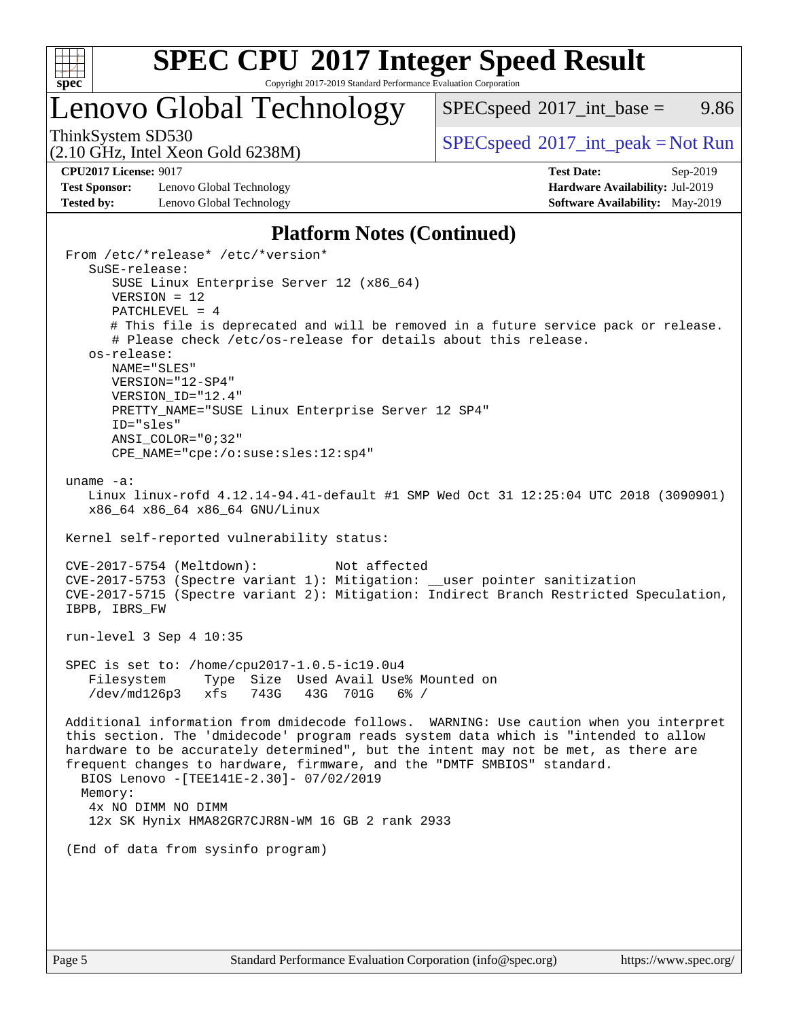

## **[SPEC CPU](http://www.spec.org/auto/cpu2017/Docs/result-fields.html#SPECCPU2017IntegerSpeedResult)[2017 Integer Speed Result](http://www.spec.org/auto/cpu2017/Docs/result-fields.html#SPECCPU2017IntegerSpeedResult)**

Copyright 2017-2019 Standard Performance Evaluation Corporation

### Lenovo Global Technology

 $SPEC speed^{\circ}2017\_int\_base =$  9.86

(2.10 GHz, Intel Xeon Gold 6238M)

ThinkSystem SD530  $SPECspeed^{\circ}2017\_int\_peak = Not Run$  $SPECspeed^{\circ}2017\_int\_peak = Not Run$ 

**[Test Sponsor:](http://www.spec.org/auto/cpu2017/Docs/result-fields.html#TestSponsor)** Lenovo Global Technology **[Hardware Availability:](http://www.spec.org/auto/cpu2017/Docs/result-fields.html#HardwareAvailability)** Jul-2019 **[Tested by:](http://www.spec.org/auto/cpu2017/Docs/result-fields.html#Testedby)** Lenovo Global Technology **[Software Availability:](http://www.spec.org/auto/cpu2017/Docs/result-fields.html#SoftwareAvailability)** May-2019

**[CPU2017 License:](http://www.spec.org/auto/cpu2017/Docs/result-fields.html#CPU2017License)** 9017 **[Test Date:](http://www.spec.org/auto/cpu2017/Docs/result-fields.html#TestDate)** Sep-2019

### **[Platform Notes \(Continued\)](http://www.spec.org/auto/cpu2017/Docs/result-fields.html#PlatformNotes)**

 From /etc/\*release\* /etc/\*version\* SuSE-release: SUSE Linux Enterprise Server 12 (x86\_64) VERSION = 12 PATCHLEVEL = 4 # This file is deprecated and will be removed in a future service pack or release. # Please check /etc/os-release for details about this release. os-release: NAME="SLES" VERSION="12-SP4" VERSION\_ID="12.4" PRETTY NAME="SUSE Linux Enterprise Server 12 SP4" ID="sles" ANSI\_COLOR="0;32" CPE\_NAME="cpe:/o:suse:sles:12:sp4" uname -a: Linux linux-rofd 4.12.14-94.41-default #1 SMP Wed Oct 31 12:25:04 UTC 2018 (3090901) x86\_64 x86\_64 x86\_64 GNU/Linux Kernel self-reported vulnerability status: CVE-2017-5754 (Meltdown): Not affected CVE-2017-5753 (Spectre variant 1): Mitigation: \_\_user pointer sanitization CVE-2017-5715 (Spectre variant 2): Mitigation: Indirect Branch Restricted Speculation, IBPB, IBRS\_FW run-level 3 Sep 4 10:35 SPEC is set to: /home/cpu2017-1.0.5-ic19.0u4 Filesystem Type Size Used Avail Use% Mounted on /dev/md126p3 xfs 743G 43G 701G 6% / Additional information from dmidecode follows. WARNING: Use caution when you interpret this section. The 'dmidecode' program reads system data which is "intended to allow hardware to be accurately determined", but the intent may not be met, as there are frequent changes to hardware, firmware, and the "DMTF SMBIOS" standard. BIOS Lenovo -[TEE141E-2.30]- 07/02/2019 Memory: 4x NO DIMM NO DIMM 12x SK Hynix HMA82GR7CJR8N-WM 16 GB 2 rank 2933 (End of data from sysinfo program)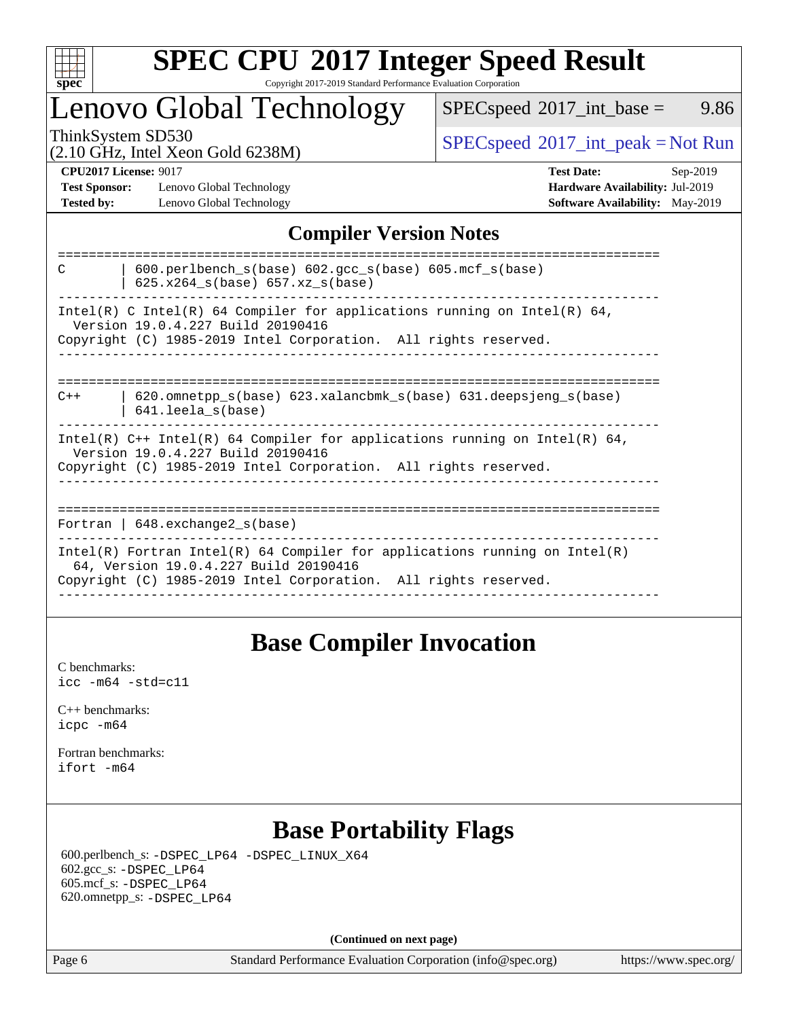

#### **[SPEC CPU](http://www.spec.org/auto/cpu2017/Docs/result-fields.html#SPECCPU2017IntegerSpeedResult)[2017 Integer Speed Result](http://www.spec.org/auto/cpu2017/Docs/result-fields.html#SPECCPU2017IntegerSpeedResult)** Copyright 2017-2019 Standard Performance Evaluation Corporation

## Lenovo Global Technology

 $SPECspeed^{\circ}2017\_int\_base =$  $SPECspeed^{\circ}2017\_int\_base =$  9.86

(2.10 GHz, Intel Xeon Gold 6238M)

ThinkSystem SD530<br>  $\begin{array}{c}\n\text{SPEC speed} \text{?}2017\_int\_peak = Not Run \\
\text{CHz\_Total Yes} = \text{Gold }6238M\n\end{array}$ 

**[Test Sponsor:](http://www.spec.org/auto/cpu2017/Docs/result-fields.html#TestSponsor)** Lenovo Global Technology **[Hardware Availability:](http://www.spec.org/auto/cpu2017/Docs/result-fields.html#HardwareAvailability)** Jul-2019 **[Tested by:](http://www.spec.org/auto/cpu2017/Docs/result-fields.html#Testedby)** Lenovo Global Technology **[Software Availability:](http://www.spec.org/auto/cpu2017/Docs/result-fields.html#SoftwareAvailability)** May-2019

**[CPU2017 License:](http://www.spec.org/auto/cpu2017/Docs/result-fields.html#CPU2017License)** 9017 **[Test Date:](http://www.spec.org/auto/cpu2017/Docs/result-fields.html#TestDate)** Sep-2019

### **[Compiler Version Notes](http://www.spec.org/auto/cpu2017/Docs/result-fields.html#CompilerVersionNotes)**

| $600.$ perlbench $s(base)$ $602.$ qcc $s(base)$ $605.$ mcf $s(base)$<br>C<br>$625.x264_s(base) 657.xz_s(base)$      |
|---------------------------------------------------------------------------------------------------------------------|
| Intel(R) C Intel(R) 64 Compiler for applications running on Intel(R) 64,<br>Version 19.0.4.227 Build 20190416       |
| Copyright (C) 1985-2019 Intel Corporation. All rights reserved.                                                     |
|                                                                                                                     |
| $620$ .omnetpp $s(base)$ 623.xalancbmk $s(base)$ 631.deepsjeng $s(base)$<br>$C++$<br>$641.$ leela $s(base)$         |
| Intel(R) $C++$ Intel(R) 64 Compiler for applications running on Intel(R) 64,<br>Version 19.0.4.227 Build 20190416   |
| Copyright (C) 1985-2019 Intel Corporation. All rights reserved.                                                     |
|                                                                                                                     |
| Fortran   $648$ . exchange2 $s(base)$                                                                               |
| Intel(R) Fortran Intel(R) 64 Compiler for applications running on Intel(R)<br>64, Version 19.0.4.227 Build 20190416 |
| Copyright (C) 1985-2019 Intel Corporation. All rights reserved.                                                     |
|                                                                                                                     |

### **[Base Compiler Invocation](http://www.spec.org/auto/cpu2017/Docs/result-fields.html#BaseCompilerInvocation)**

[C benchmarks](http://www.spec.org/auto/cpu2017/Docs/result-fields.html#Cbenchmarks): [icc -m64 -std=c11](http://www.spec.org/cpu2017/results/res2019q4/cpu2017-20190916-18136.flags.html#user_CCbase_intel_icc_64bit_c11_33ee0cdaae7deeeab2a9725423ba97205ce30f63b9926c2519791662299b76a0318f32ddfffdc46587804de3178b4f9328c46fa7c2b0cd779d7a61945c91cd35)

[C++ benchmarks:](http://www.spec.org/auto/cpu2017/Docs/result-fields.html#CXXbenchmarks) [icpc -m64](http://www.spec.org/cpu2017/results/res2019q4/cpu2017-20190916-18136.flags.html#user_CXXbase_intel_icpc_64bit_4ecb2543ae3f1412ef961e0650ca070fec7b7afdcd6ed48761b84423119d1bf6bdf5cad15b44d48e7256388bc77273b966e5eb805aefd121eb22e9299b2ec9d9)

[Fortran benchmarks](http://www.spec.org/auto/cpu2017/Docs/result-fields.html#Fortranbenchmarks): [ifort -m64](http://www.spec.org/cpu2017/results/res2019q4/cpu2017-20190916-18136.flags.html#user_FCbase_intel_ifort_64bit_24f2bb282fbaeffd6157abe4f878425411749daecae9a33200eee2bee2fe76f3b89351d69a8130dd5949958ce389cf37ff59a95e7a40d588e8d3a57e0c3fd751)

### **[Base Portability Flags](http://www.spec.org/auto/cpu2017/Docs/result-fields.html#BasePortabilityFlags)**

 600.perlbench\_s: [-DSPEC\\_LP64](http://www.spec.org/cpu2017/results/res2019q4/cpu2017-20190916-18136.flags.html#b600.perlbench_s_basePORTABILITY_DSPEC_LP64) [-DSPEC\\_LINUX\\_X64](http://www.spec.org/cpu2017/results/res2019q4/cpu2017-20190916-18136.flags.html#b600.perlbench_s_baseCPORTABILITY_DSPEC_LINUX_X64) 602.gcc\_s: [-DSPEC\\_LP64](http://www.spec.org/cpu2017/results/res2019q4/cpu2017-20190916-18136.flags.html#suite_basePORTABILITY602_gcc_s_DSPEC_LP64) 605.mcf\_s: [-DSPEC\\_LP64](http://www.spec.org/cpu2017/results/res2019q4/cpu2017-20190916-18136.flags.html#suite_basePORTABILITY605_mcf_s_DSPEC_LP64) 620.omnetpp\_s: [-DSPEC\\_LP64](http://www.spec.org/cpu2017/results/res2019q4/cpu2017-20190916-18136.flags.html#suite_basePORTABILITY620_omnetpp_s_DSPEC_LP64)

**(Continued on next page)**

Page 6 Standard Performance Evaluation Corporation [\(info@spec.org\)](mailto:info@spec.org) <https://www.spec.org/>